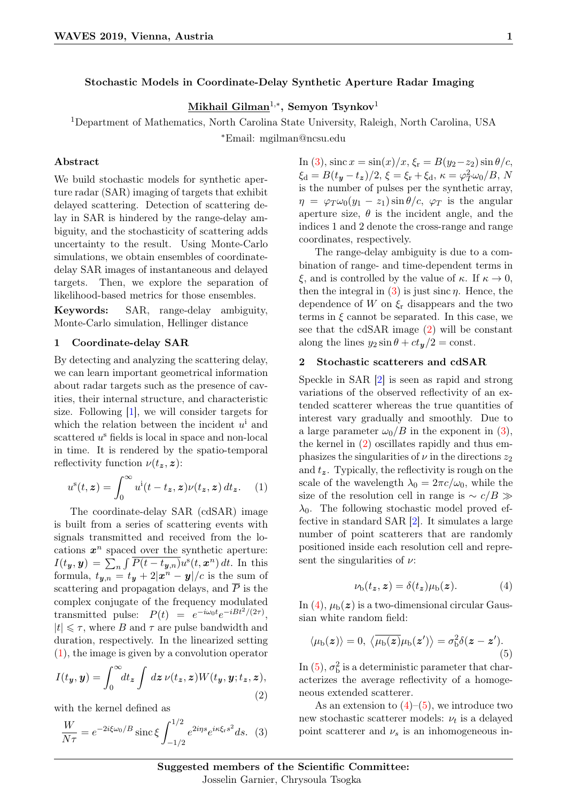# Stochastic Models in Coordinate-Delay Synthetic Aperture Radar Imaging

# $\mathbf{Mikhail~Gilman}^{1,\ast},$  Semyon Tsynkov $^{1}$

<sup>1</sup>Department of Mathematics, North Carolina State University, Raleigh, North Carolina, USA <sup>∗</sup>Email: mgilman@ncsu.edu

# Abstract

We build stochastic models for synthetic aperture radar (SAR) imaging of targets that exhibit delayed scattering. Detection of scattering delay in SAR is hindered by the range-delay ambiguity, and the stochasticity of scattering adds uncertainty to the result. Using Monte-Carlo simulations, we obtain ensembles of coordinatedelay SAR images of instantaneous and delayed targets. Then, we explore the separation of likelihood-based metrics for those ensembles.

Keywords: SAR, range-delay ambiguity, Monte-Carlo simulation, Hellinger distance

## <span id="page-0-5"></span>1 Coordinate-delay SAR

By detecting and analyzing the scattering delay, we can learn important geometrical information about radar targets such as the presence of cavities, their internal structure, and characteristic size. Following [\[1\]](#page-1-0), we will consider targets for which the relation between the incident  $u^i$  and scattered  $u^s$  fields is local in space and non-local in time. It is rendered by the spatio-temporal reflectivity function  $\nu(t_z, z)$ :

<span id="page-0-0"></span>
$$
u^{s}(t, \mathbf{z}) = \int_{0}^{\infty} u^{i}(t - t_{\mathbf{z}}, \mathbf{z}) \nu(t_{\mathbf{z}}, \mathbf{z}) dt_{\mathbf{z}}.
$$
 (1)

The coordinate-delay SAR (cdSAR) image is built from a series of scattering events with signals transmitted and received from the locations  $x^n$  spaced over the synthetic aperture:  $I(t_y, y) = \sum_n \int \overline{P(t - t_{y,n})} u^{\rm s}(t, x^n) \, dt.$  In this formula,  $t_{\boldsymbol{y},n} = t_{\boldsymbol{y}} + 2|\boldsymbol{x}^n - \boldsymbol{y}|/c$  is the sum of scattering and propagation delays, and  $\overline{P}$  is the complex conjugate of the frequency modulated transmitted pulse:  $P(t) = e^{-i\omega_0 t}e^{-iBt^2/(2\tau)},$  $|t| \leq \tau$ , where B and  $\tau$  are pulse bandwidth and duration, respectively. In the linearized setting [\(1\)](#page-0-0), the image is given by a convolution operator

<span id="page-0-2"></span>
$$
I(ty, y) = \int_0^\infty dt_z \int dz \, \nu(t_z, z) W(t_y, y; t_z, z), \tag{2}
$$

with the kernel defined as

<span id="page-0-1"></span>
$$
\frac{W}{N\tau} = e^{-2i\xi\omega_0/B} \operatorname{sinc}\xi \int_{-1/2}^{1/2} e^{2i\eta s} e^{i\kappa \xi_{\rm r}s^2} ds. \tag{3}
$$

In [\(3\)](#page-0-1), sinc  $x = \sin(x)/x$ ,  $\xi_r = B(y_2-z_2) \sin \theta/c$ ,  $\xi_d = B(t_y - t_z)/2, \, \xi = \xi_r + \xi_d, \, \kappa = \varphi_T^2 \omega_0 / B, \, N$ is the number of pulses per the synthetic array,  $\eta = \varphi_T \omega_0 (y_1 - z_1) \sin \theta / c$ ,  $\varphi_T$  is the angular aperture size,  $\theta$  is the incident angle, and the indices 1 and 2 denote the cross-range and range coordinates, respectively.

The range-delay ambiguity is due to a combination of range- and time-dependent terms in ξ, and is controlled by the value of κ. If  $κ \to 0$ , then the integral in [\(3\)](#page-0-1) is just sinc  $\eta$ . Hence, the dependence of W on  $\xi_r$  disappears and the two terms in  $\xi$  cannot be separated. In this case, we see that the cdSAR image [\(2\)](#page-0-2) will be constant along the lines  $y_2 \sin \theta + ct_{\gamma/2} = \text{const.}$ 

## 2 Stochastic scatterers and cdSAR

Speckle in SAR [\[2\]](#page-1-1) is seen as rapid and strong variations of the observed reflectivity of an extended scatterer whereas the true quantities of interest vary gradually and smoothly. Due to a large parameter  $\omega_0/B$  in the exponent in [\(3\)](#page-0-1), the kernel in [\(2\)](#page-0-2) oscillates rapidly and thus emphasizes the singularities of  $\nu$  in the directions  $z_2$ and  $t_{\mathbf{z}}$ . Typically, the reflectivity is rough on the scale of the wavelength  $\lambda_0 = 2\pi c/\omega_0$ , while the size of the resolution cell in range is  $\sim c/B \gg$  $\lambda_0$ . The following stochastic model proved effective in standard SAR [\[2\]](#page-1-1). It simulates a large number of point scatterers that are randomly positioned inside each resolution cell and represent the singularities of  $\nu$ :

<span id="page-0-3"></span>
$$
\nu_{\rm b}(t_z, z) = \delta(t_z)\mu_{\rm b}(z). \tag{4}
$$

In  $(4)$ ,  $\mu_{b}(z)$  is a two-dimensional circular Gaussian white random field:

<span id="page-0-4"></span>
$$
\langle \mu_{\rm b}(z) \rangle = 0, \ \langle \overline{\mu_{\rm b}(z)} \mu_{\rm b}(z') \rangle = \sigma_{\rm b}^2 \delta(z - z'). \tag{5}
$$

In [\(5\)](#page-0-4),  $\sigma_{\rm b}^2$  is a deterministic parameter that characterizes the average reflectivity of a homogeneous extended scatterer.

As an extension to  $(4)$ – $(5)$ , we introduce two new stochastic scatterer models:  $\nu_t$  is a delayed point scatterer and  $\nu_s$  is an inhomogeneous in